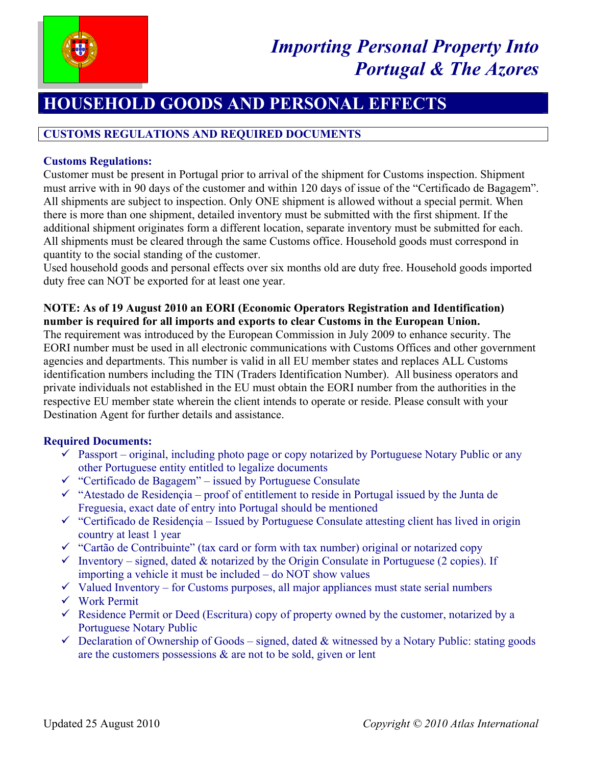

# **HOUSEHOLD GOODS AND PERSONAL EFFECTS**

# **CUSTOMS REGULATIONS AND REQUIRED DOCUMENTS**

# **Customs Regulations:**

Customer must be present in Portugal prior to arrival of the shipment for Customs inspection. Shipment must arrive with in 90 days of the customer and within 120 days of issue of the "Certificado de Bagagem". All shipments are subject to inspection. Only ONE shipment is allowed without a special permit. When there is more than one shipment, detailed inventory must be submitted with the first shipment. If the additional shipment originates form a different location, separate inventory must be submitted for each. All shipments must be cleared through the same Customs office. Household goods must correspond in quantity to the social standing of the customer.

Used household goods and personal effects over six months old are duty free. Household goods imported duty free can NOT be exported for at least one year.

# **NOTE: As of 19 August 2010 an EORI (Economic Operators Registration and Identification) number is required for all imports and exports to clear Customs in the European Union.**

The requirement was introduced by the European Commission in July 2009 to enhance security. The EORI number must be used in all electronic communications with Customs Offices and other government agencies and departments. This number is valid in all EU member states and replaces ALL Customs identification numbers including the TIN (Traders Identification Number). All business operators and private individuals not established in the EU must obtain the EORI number from the authorities in the respective EU member state wherein the client intends to operate or reside. Please consult with your Destination Agent for further details and assistance.

# **Required Documents:**

- $\checkmark$  Passport original, including photo page or copy notarized by Portuguese Notary Public or any other Portuguese entity entitled to legalize documents
- $\checkmark$  "Certificado de Bagagem" issued by Portuguese Consulate
- $\checkmark$  "Atestado de Residencia proof of entitlement to reside in Portugal issued by the Junta de Freguesia, exact date of entry into Portugal should be mentioned
- $\checkmark$  "Certificado de Residençia Issued by Portuguese Consulate attesting client has lived in origin country at least 1 year
- $\checkmark$  "Cartão de Contribuinte" (tax card or form with tax number) original or notarized copy
- $\checkmark$  Inventory signed, dated & notarized by the Origin Consulate in Portuguese (2 copies). If importing a vehicle it must be included – do NOT show values
- $\checkmark$  Valued Inventory for Customs purposes, all major appliances must state serial numbers
- $\checkmark$  Work Permit
- $\checkmark$  Residence Permit or Deed (Escritura) copy of property owned by the customer, notarized by a Portuguese Notary Public
- $\checkmark$  Declaration of Ownership of Goods signed, dated & witnessed by a Notary Public: stating goods are the customers possessions  $\&$  are not to be sold, given or lent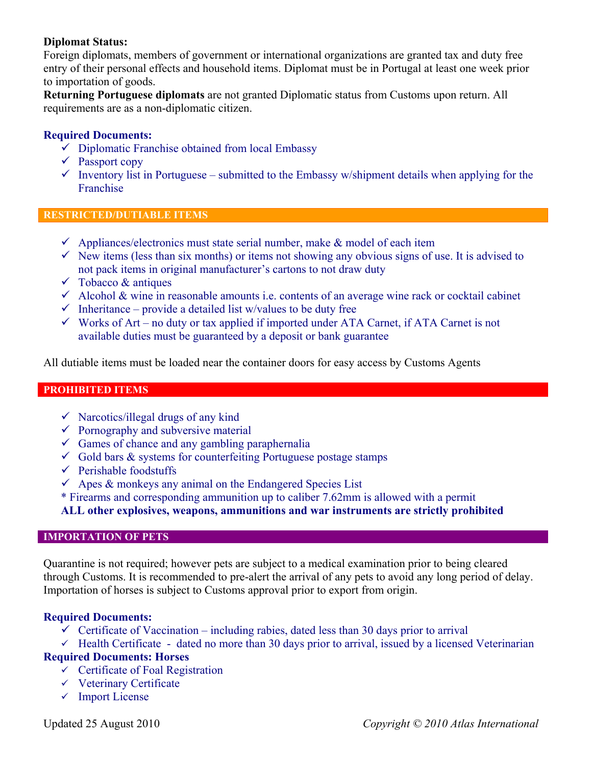# **Diplomat Status:**

Foreign diplomats, members of government or international organizations are granted tax and duty free entry of their personal effects and household items. Diplomat must be in Portugal at least one week prior to importation of goods.

**Returning Portuguese diplomats** are not granted Diplomatic status from Customs upon return. All requirements are as a non-diplomatic citizen.

# **Required Documents:**

- $\checkmark$  Diplomatic Franchise obtained from local Embassy
- $\checkmark$  Passport copy
- $\checkmark$  Inventory list in Portuguese submitted to the Embassy w/shipment details when applying for the Franchise

### **RESTRICTED/DUTIABLE ITEMS**

- $\checkmark$  Appliances/electronics must state serial number, make & model of each item
- $\checkmark$  New items (less than six months) or items not showing any obvious signs of use. It is advised to not pack items in original manufacturer's cartons to not draw duty
- $\checkmark$  Tobacco & antiques
- $\checkmark$  Alcohol & wine in reasonable amounts i.e. contents of an average wine rack or cocktail cabinet
- $\checkmark$  Inheritance provide a detailed list w/values to be duty free
- $\checkmark$  Works of Art no duty or tax applied if imported under ATA Carnet, if ATA Carnet is not available duties must be guaranteed by a deposit or bank guarantee

All dutiable items must be loaded near the container doors for easy access by Customs Agents

## **PROHIBITED ITEMS**

- $\checkmark$  Narcotics/illegal drugs of any kind
- $\checkmark$  Pornography and subversive material
- $\checkmark$  Games of chance and any gambling paraphernalia
- $\checkmark$  Gold bars & systems for counterfeiting Portuguese postage stamps
- $\checkmark$  Perishable foodstuffs
- $\checkmark$  Apes & monkeys any animal on the Endangered Species List
- \* Firearms and corresponding ammunition up to caliber 7.62mm is allowed with a permit

**ALL other explosives, weapons, ammunitions and war instruments are strictly prohibited**

# **IMPORTATION OF PETS**

Quarantine is not required; however pets are subject to a medical examination prior to being cleared through Customs. It is recommended to pre-alert the arrival of any pets to avoid any long period of delay. Importation of horses is subject to Customs approval prior to export from origin.

## **Required Documents:**

- $\checkmark$  Certificate of Vaccination including rabies, dated less than 30 days prior to arrival
- $\checkmark$  Health Certificate dated no more than 30 days prior to arrival, issued by a licensed Veterinarian

# **Required Documents: Horses**

- $\checkmark$  Certificate of Foal Registration
- $\checkmark$  Veterinary Certificate
- $\checkmark$  Import License